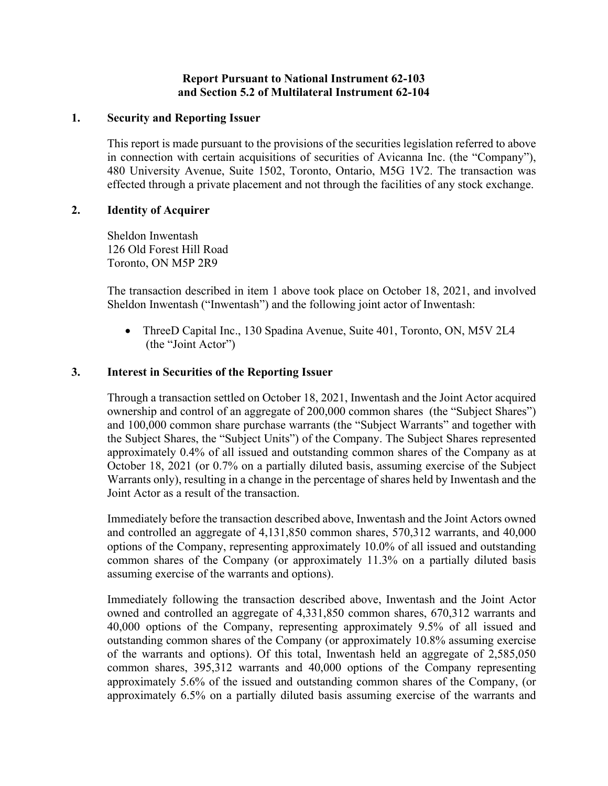### **Report Pursuant to National Instrument 62-103 and Section 5.2 of Multilateral Instrument 62-104**

#### **1. Security and Reporting Issuer**

This report is made pursuant to the provisions of the securities legislation referred to above in connection with certain acquisitions of securities of Avicanna Inc. (the "Company"), 480 University Avenue, Suite 1502, Toronto, Ontario, M5G 1V2. The transaction was effected through a private placement and not through the facilities of any stock exchange.

#### **2. Identity of Acquirer**

Sheldon Inwentash 126 Old Forest Hill Road Toronto, ON M5P 2R9

The transaction described in item 1 above took place on October 18, 2021, and involved Sheldon Inwentash ("Inwentash") and the following joint actor of Inwentash:

• ThreeD Capital Inc., 130 Spadina Avenue, Suite 401, Toronto, ON, M5V 2L4 (the "Joint Actor")

### **3. Interest in Securities of the Reporting Issuer**

Through a transaction settled on October 18, 2021, Inwentash and the Joint Actor acquired ownership and control of an aggregate of 200,000 common shares (the "Subject Shares") and 100,000 common share purchase warrants (the "Subject Warrants" and together with the Subject Shares, the "Subject Units") of the Company. The Subject Shares represented approximately 0.4% of all issued and outstanding common shares of the Company as at October 18, 2021 (or 0.7% on a partially diluted basis, assuming exercise of the Subject Warrants only), resulting in a change in the percentage of shares held by Inwentash and the Joint Actor as a result of the transaction.

Immediately before the transaction described above, Inwentash and the Joint Actors owned and controlled an aggregate of 4,131,850 common shares, 570,312 warrants, and 40,000 options of the Company, representing approximately 10.0% of all issued and outstanding common shares of the Company (or approximately 11.3% on a partially diluted basis assuming exercise of the warrants and options).

Immediately following the transaction described above, Inwentash and the Joint Actor owned and controlled an aggregate of 4,331,850 common shares, 670,312 warrants and 40,000 options of the Company, representing approximately 9.5% of all issued and outstanding common shares of the Company (or approximately 10.8% assuming exercise of the warrants and options). Of this total, Inwentash held an aggregate of 2,585,050 common shares, 395,312 warrants and 40,000 options of the Company representing approximately 5.6% of the issued and outstanding common shares of the Company, (or approximately 6.5% on a partially diluted basis assuming exercise of the warrants and